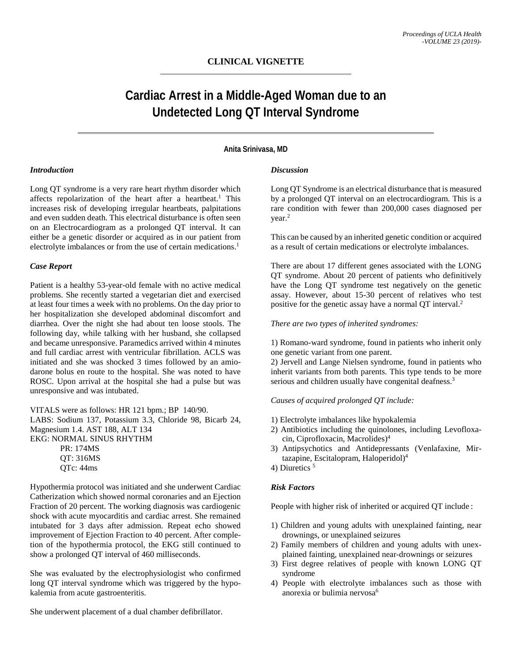# **CLINICAL VIGNETTE**

# **Cardiac Arrest in a Middle-Aged Woman due to an Undetected Long QT Interval Syndrome**

### **Anita Srinivasa, MD**

# *Introduction*

Long QT syndrome is a very rare heart rhythm disorder which affects repolarization of the heart after a heartbeat.<sup>1</sup> This increases risk of developing irregular heartbeats, palpitations and even sudden death. This electrical disturbance is often seen on an Electrocardiogram as a prolonged QT interval. It can either be a genetic disorder or acquired as in our patient from electrolyte imbalances or from the use of certain medications.<sup>1</sup>

#### *Case Report*

Patient is a healthy 53-year-old female with no active medical problems. She recently started a vegetarian diet and exercised at least four times a week with no problems. On the day prior to her hospitalization she developed abdominal discomfort and diarrhea. Over the night she had about ten loose stools. The following day, while talking with her husband, she collapsed and became unresponsive. Paramedics arrived within 4 minutes and full cardiac arrest with ventricular fibrillation. ACLS was initiated and she was shocked 3 times followed by an amiodarone bolus en route to the hospital. She was noted to have ROSC. Upon arrival at the hospital she had a pulse but was unresponsive and was intubated.

VITALS were as follows: HR 121 bpm.; BP 140/90. LABS: Sodium 137, Potassium 3.3, Chloride 98, Bicarb 24, Magnesium 1.4. AST 188, ALT 134 EKG: NORMAL SINUS RHYTHM PR: 174MS QT: 316MS QTc: 44ms

Hypothermia protocol was initiated and she underwent Cardiac Catherization which showed normal coronaries and an Ejection Fraction of 20 percent. The working diagnosis was cardiogenic shock with acute myocarditis and cardiac arrest. She remained intubated for 3 days after admission. Repeat echo showed improvement of Ejection Fraction to 40 percent. After completion of the hypothermia protocol, the EKG still continued to show a prolonged QT interval of 460 milliseconds.

She was evaluated by the electrophysiologist who confirmed long QT interval syndrome which was triggered by the hypokalemia from acute gastroenteritis.

She underwent placement of a dual chamber defibrillator.

## *Discussion*

Long QT Syndrome is an electrical disturbance that is measured by a prolonged QT interval on an electrocardiogram. This is a rare condition with fewer than 200,000 cases diagnosed per year.2

This can be caused by an inherited genetic condition or acquired as a result of certain medications or electrolyte imbalances.

There are about 17 different genes associated with the LONG QT syndrome. About 20 percent of patients who definitively have the Long QT syndrome test negatively on the genetic assay. However, about 15-30 percent of relatives who test positive for the genetic assay have a normal QT interval.2

*There are two types of inherited syndromes:*

1) Romano-ward syndrome, found in patients who inherit only one genetic variant from one parent.

2) Jervell and Lange Nielsen syndrome, found in patients who inherit variants from both parents. This type tends to be more serious and children usually have congenital deafness.<sup>3</sup>

# *Causes of acquired prolonged QT include:*

- 1) Electrolyte imbalances like hypokalemia
- 2) Antibiotics including the quinolones, including Levofloxacin, Ciprofloxacin, Macrolides)4
- 3) Antipsychotics and Antidepressants (Venlafaxine, Mirtazapine, Escitalopram, Haloperidol)4
- 4) Diuretics <sup>5</sup>

#### *Risk Factors*

People with higher risk of inherited or acquired QT include :

- 1) Children and young adults with unexplained fainting, near drownings, or unexplained seizures
- 2) Family members of children and young adults with unexplained fainting, unexplained near-drownings or seizures
- 3) First degree relatives of people with known LONG QT syndrome
- 4) People with electrolyte imbalances such as those with anorexia or bulimia nervosa<sup>6</sup>